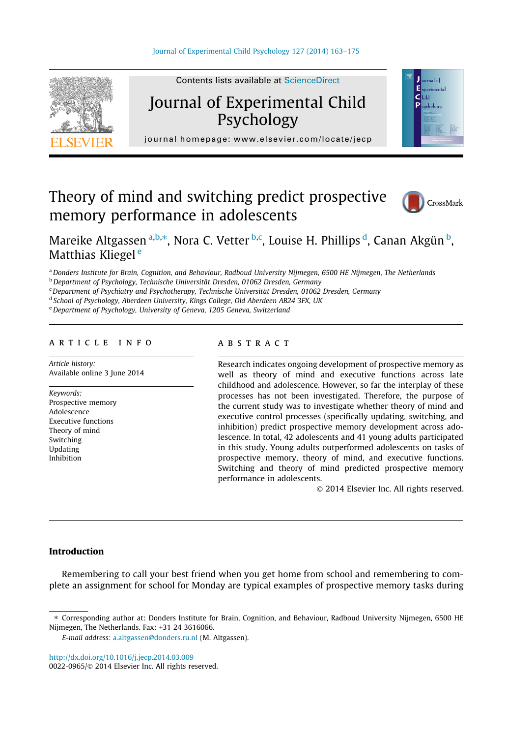

Contents lists available at [ScienceDirect](http://www.sciencedirect.com/science/journal/00220965)

# Journal of Experimental Child Psychology



journal homepage: [www.elsevier.com/locate/jecp](http://www.elsevier.com/locate/jecp)

## Theory of mind and switching predict prospective memory performance in adolescents



### Mareike Altgassen <sup>a,b,</sup>\*, Nora C. Vetter <sup>b,c</sup>, Louise H. Phillips <sup>d</sup>, Canan Akgün <sup>b</sup>, Matthias Kliegel<sup>e</sup>

a Donders Institute for Brain, Cognition, and Behaviour, Radboud University Nijmegen, 6500 HE Nijmegen, The Netherlands

**b** Department of Psychology, Technische Universität Dresden, 01062 Dresden, Germany

<sup>c</sup> Department of Psychiatry and Psychotherapy, Technische Universität Dresden, 01062 Dresden, Germany

<sup>d</sup> School of Psychology, Aberdeen University, Kings College, Old Aberdeen AB24 3FX, UK

e Department of Psychology, University of Geneva, 1205 Geneva, Switzerland

#### article info

Article history: Available online 3 June 2014

Keywords: Prospective memory Adolescence Executive functions Theory of mind Switching Updating Inhibition

#### **ABSTRACT**

Research indicates ongoing development of prospective memory as well as theory of mind and executive functions across late childhood and adolescence. However, so far the interplay of these processes has not been investigated. Therefore, the purpose of the current study was to investigate whether theory of mind and executive control processes (specifically updating, switching, and inhibition) predict prospective memory development across adolescence. In total, 42 adolescents and 41 young adults participated in this study. Young adults outperformed adolescents on tasks of prospective memory, theory of mind, and executive functions. Switching and theory of mind predicted prospective memory performance in adolescents.

- 2014 Elsevier Inc. All rights reserved.

#### Introduction

Remembering to call your best friend when you get home from school and remembering to complete an assignment for school for Monday are typical examples of prospective memory tasks during

E-mail address: [a.altgassen@donders.ru.nl](mailto:a.altgassen@donders.ru.nl) (M. Altgassen).

<http://dx.doi.org/10.1016/j.jecp.2014.03.009>

0022-0965/© 2014 Elsevier Inc. All rights reserved.

<sup>⇑</sup> Corresponding author at: Donders Institute for Brain, Cognition, and Behaviour, Radboud University Nijmegen, 6500 HE Nijmegen, The Netherlands. Fax: +31 24 3616066.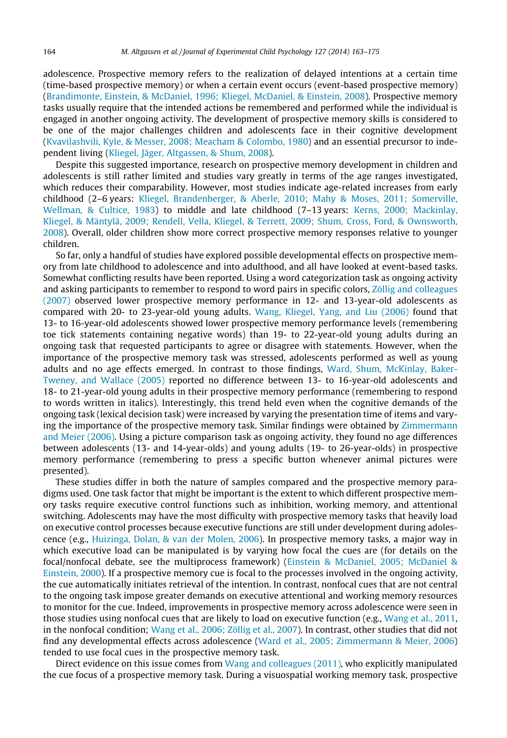adolescence. Prospective memory refers to the realization of delayed intentions at a certain time (time-based prospective memory) or when a certain event occurs (event-based prospective memory) ([Brandimonte, Einstein, & McDaniel, 1996; Kliegel, McDaniel, & Einstein, 2008](#page--1-0)). Prospective memory tasks usually require that the intended actions be remembered and performed while the individual is engaged in another ongoing activity. The development of prospective memory skills is considered to be one of the major challenges children and adolescents face in their cognitive development ([Kvavilashvili, Kyle, & Messer, 2008; Meacham & Colombo, 1980](#page--1-0)) and an essential precursor to independent living ([Kliegel, Jäger, Altgassen, & Shum, 2008](#page--1-0)).

Despite this suggested importance, research on prospective memory development in children and adolescents is still rather limited and studies vary greatly in terms of the age ranges investigated, which reduces their comparability. However, most studies indicate age-related increases from early childhood (2–6 years: [Kliegel, Brandenberger, & Aberle, 2010; Mahy & Moses, 2011; Somerville,](#page--1-0) [Wellman, & Cultice, 1983](#page--1-0)) to middle and late childhood (7-13 years: [Kerns, 2000; Mackinlay,](#page--1-0) [Kliegel, & Mäntylä, 2009; Rendell, Vella, Kliegel, & Terrett, 2009; Shum, Cross, Ford, & Ownsworth,](#page--1-0) [2008\)](#page--1-0). Overall, older children show more correct prospective memory responses relative to younger children.

So far, only a handful of studies have explored possible developmental effects on prospective memory from late childhood to adolescence and into adulthood, and all have looked at event-based tasks. Somewhat conflicting results have been reported. Using a word categorization task as ongoing activity and asking participants to remember to respond to word pairs in specific colors, [Zöllig and colleagues](#page--1-0) [\(2007\)](#page--1-0) observed lower prospective memory performance in 12- and 13-year-old adolescents as compared with 20- to 23-year-old young adults. [Wang, Kliegel, Yang, and Liu \(2006\)](#page--1-0) found that 13- to 16-year-old adolescents showed lower prospective memory performance levels (remembering toe tick statements containing negative words) than 19- to 22-year-old young adults during an ongoing task that requested participants to agree or disagree with statements. However, when the importance of the prospective memory task was stressed, adolescents performed as well as young adults and no age effects emerged. In contrast to those findings, [Ward, Shum, McKinlay, Baker-](#page--1-0)[Tweney, and Wallace \(2005\)](#page--1-0) reported no difference between 13- to 16-year-old adolescents and 18- to 21-year-old young adults in their prospective memory performance (remembering to respond to words written in italics). Interestingly, this trend held even when the cognitive demands of the ongoing task (lexical decision task) were increased by varying the presentation time of items and varying the importance of the prospective memory task. Similar findings were obtained by [Zimmermann](#page--1-0) [and Meier \(2006\).](#page--1-0) Using a picture comparison task as ongoing activity, they found no age differences between adolescents (13- and 14-year-olds) and young adults (19- to 26-year-olds) in prospective memory performance (remembering to press a specific button whenever animal pictures were presented).

These studies differ in both the nature of samples compared and the prospective memory paradigms used. One task factor that might be important is the extent to which different prospective memory tasks require executive control functions such as inhibition, working memory, and attentional switching. Adolescents may have the most difficulty with prospective memory tasks that heavily load on executive control processes because executive functions are still under development during adolescence (e.g., [Huizinga, Dolan, & van der Molen, 2006](#page--1-0)). In prospective memory tasks, a major way in which executive load can be manipulated is by varying how focal the cues are (for details on the focal/nonfocal debate, see the multiprocess framework) [\(Einstein & McDaniel, 2005; McDaniel &](#page--1-0) [Einstein, 2000](#page--1-0)). If a prospective memory cue is focal to the processes involved in the ongoing activity, the cue automatically initiates retrieval of the intention. In contrast, nonfocal cues that are not central to the ongoing task impose greater demands on executive attentional and working memory resources to monitor for the cue. Indeed, improvements in prospective memory across adolescence were seen in those studies using nonfocal cues that are likely to load on executive function (e.g., [Wang et al., 2011,](#page--1-0) in the nonfocal condition; [Wang et al., 2006; Zöllig et al., 2007\)](#page--1-0). In contrast, other studies that did not find any developmental effects across adolescence ([Ward et al., 2005; Zimmermann & Meier, 2006](#page--1-0)) tended to use focal cues in the prospective memory task.

Direct evidence on this issue comes from [Wang and colleagues \(2011\),](#page--1-0) who explicitly manipulated the cue focus of a prospective memory task. During a visuospatial working memory task, prospective